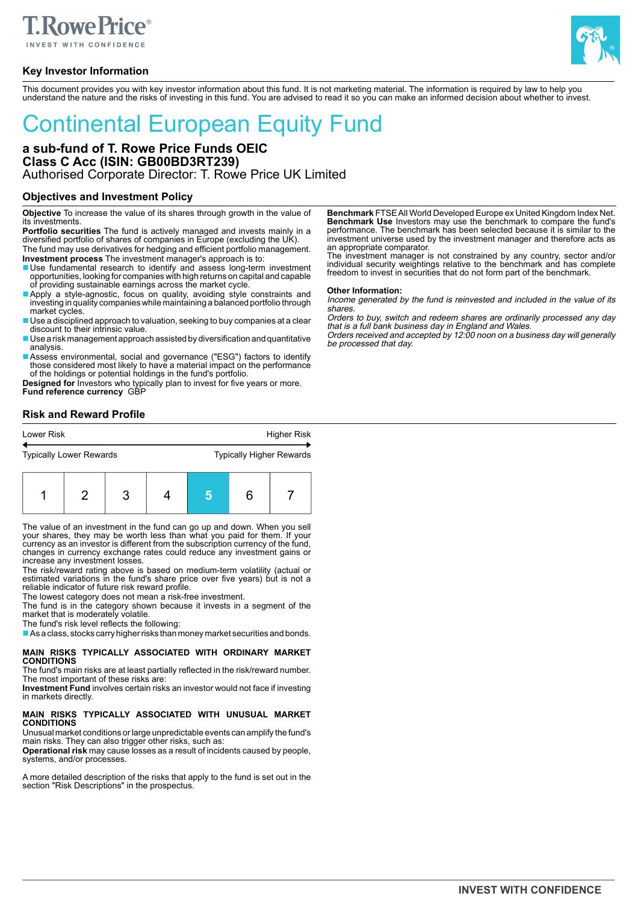# **Rowe Price**®

**Key Investor Information**



This document provides you with key investor information about this fund. It is not marketing material. The information is required by law to help you understand the nature and the risks of investing in this fund. You are advised to read it so you can make an informed decision about whether to invest.

# Continental European Equity Fund

# **a sub-fund of T. Rowe Price Funds OEIC Class C Acc (ISIN: GB00BD3RT239)** Authorised Corporate Director: T. Rowe Price UK Limited

# **Objectives and Investment Policy**

**Objective** To increase the value of its shares through growth in the value of its investments.

**Portfolio securities** The fund is actively managed and invests mainly in a diversified portfolio of shares of companies in Europe (excluding the UK). The fund may use derivatives for hedging and efficient portfolio management.

**Investment process** The investment manager's approach is to:

- Use fundamental research to identify and assess long-term investment opportunities, looking for companies with high returns on capital and capable of providing sustainable earnings across the market cycle.
- Apply a style-agnostic, focus on quality, avoiding style constraints and investing in quality companies while maintaining a balanced portfolio through market cycles.
- Use a disciplined approach to valuation, seeking to buy companies at a clear discount to their intrinsic value.
- Use a risk management approach assisted by diversification and quantitative analysis.
- Assess environmental, social and governance ("ESG") factors to identify those considered most likely to have a material impact on the performance of the holdings or potential holdings in the fund's portfolio.

**Designed for** Investors who typically plan to invest for five years or more. **Fund reference currency** GBP

# **Risk and Reward Profile**

| Lower Risk                     | Higher Risk                     |
|--------------------------------|---------------------------------|
| $\leftarrow$                   |                                 |
| <b>Typically Lower Rewards</b> | <b>Typically Higher Rewards</b> |

|--|--|--|--|--|--|--|

The value of an investment in the fund can go up and down. When you sell your shares, they may be worth less than what you paid for them. If your currency as an investor is different from the subscription currency of the fund, changes in currency exchange rates could reduce any investment gains or increase any investment losses.

The risk/reward rating above is based on medium-term volatility (actual or estimated variations in the fund's share price over five years) but is not a reliable indicator of future risk reward profile.

The lowest category does not mean a risk-free investment.

The fund is in the category shown because it invests in a segment of the market that is moderately volatile.

The fund's risk level reflects the following:

■ As a class, stocks carry higher risks than money market securities and bonds.

### **MAIN RISKS TYPICALLY ASSOCIATED WITH ORDINARY MARKET CONDITIONS**

The fund's main risks are at least partially reflected in the risk/reward number. The most important of these risks are:

**Investment Fund** involves certain risks an investor would not face if investing in markets directly.

# **MAIN RISKS TYPICALLY ASSOCIATED WITH UNUSUAL MARKET CONDITIONS**

Unusual market conditions or large unpredictable events can amplify the fund's main risks. They can also trigger other risks, such as:

**Operational risk** may cause losses as a result of incidents caused by people, systems, and/or processes.

A more detailed description of the risks that apply to the fund is set out in the section "Risk Descriptions" in the prospectus.

**Benchmark** FTSE All World Developed Europe ex United Kingdom Index Net. **Benchmark Use** Investors may use the benchmark to compare the fund's performance. The benchmark has been selected because it is similar to the investment universe used by the investment manager and therefore acts as

an appropriate comparator. The investment manager is not constrained by any country, sector and/or individual security weightings relative to the benchmark and has complete freedom to invest in securities that do not form part of the benchmark.

### **Other Information:**

Income generated by the fund is reinvested and included in the value of its shares.

Orders to buy, switch and redeem shares are ordinarily processed any day

that is a full bank business day in England and Wales. Orders received and accepted by 12:00 noon on a business day will generally be processed that day.